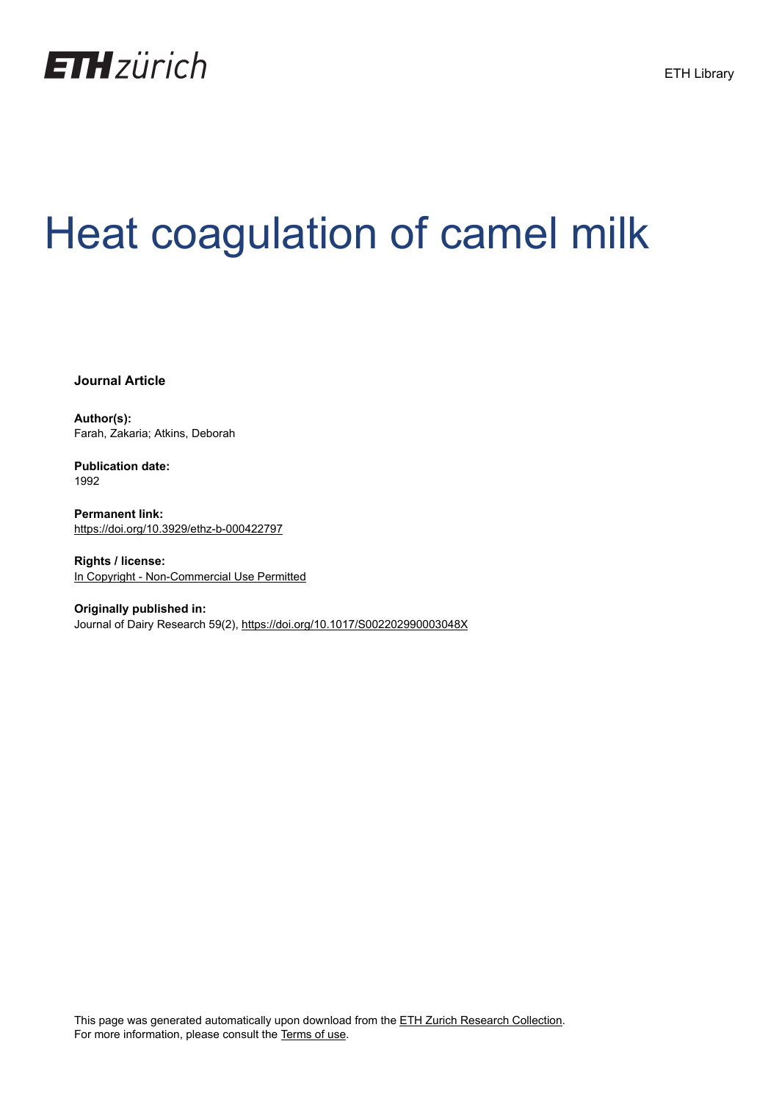

# Heat coagulation of camel milk

**Journal Article**

**Author(s):** Farah, Zakaria; Atkins, Deborah

**Publication date:** 1992

**Permanent link:** <https://doi.org/10.3929/ethz-b-000422797>

**Rights / license:** [In Copyright - Non-Commercial Use Permitted](http://rightsstatements.org/page/InC-NC/1.0/)

**Originally published in:** Journal of Dairy Research 59(2), <https://doi.org/10.1017/S002202990003048X>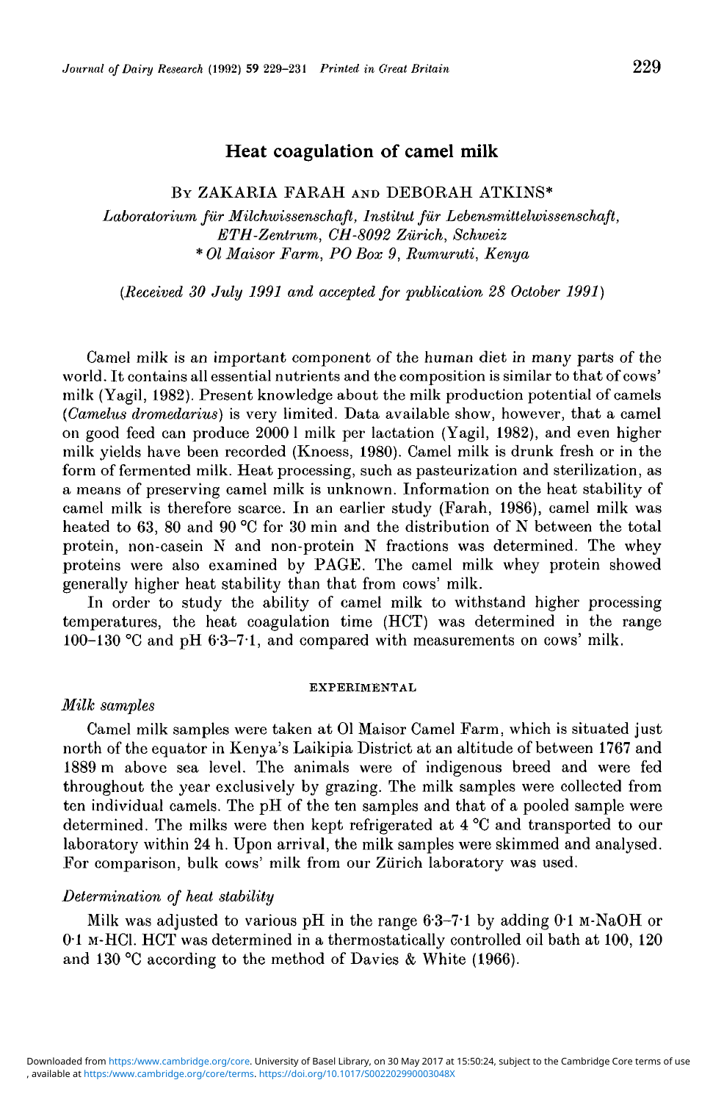# Heat coagulation of camel milk

## BY ZAKARIA FARAH AND DEBORAH ATKINS\*

*Laboratorium filr Milchivissenschaft, Institut fur Lebensmittelwissenschaft, ETH-Zentrum, CH-8092 Zurich, Schweiz* \* *01 Maisor Farm, PO Box 9, Rumuruti, Kenya*

*(Received 30 July 1991 and accepted for publication 28 October 1991)*

Camel milk is an important component of the human diet in many parts of the world. It contains all essential nutrients and the composition is similar to that of cows' milk (Yagil, 1982). Present knowledge about the milk production potential of camels *(Camelus dromedarius)* is very limited. Data available show, however, that a camel on good feed can produce 2000 1 milk per lactation (Yagil, 1982), and even higher milk yields have been recorded (Knoess, 1980). Camel milk is drunk fresh or in the form of fermented milk. Heat processing, such as pasteurization and sterilization, as a means of preserving camel milk is unknown. Information on the heat stability of camel milk is therefore scarce. In an earlier study (Farah, 1986), camel milk was heated to 63, 80 and 90 °C for 30 min and the distribution of N between the total protein, non-casein N and non-protein N fractions was determined. The whey proteins were also examined by PAGE. The camel milk whey protein showed generally higher heat stability than that from cows' milk.

In order to study the ability of camel milk to withstand higher processing temperatures, the heat coagulation time (HCT) was determined in the range 100-130 °C and pH 6-3-7-1, and compared with measurements on cows' milk.

#### EXPERIMENTAL

### *Milk samples*

Camel milk samples were taken at 01 Maisor Camel Farm, which is situated just north of the equator in Kenya's Laikipia District at an altitude of between 1767 and 1889 m above sea level. The animals were of indigenous breed and were fed throughout the year exclusively by grazing. The milk samples were collected from ten individual camels. The pH of the ten samples and that of a pooled sample were determined. The milks were then kept refrigerated at 4 °C and transported to our laboratory within 24 h. Upon arrival, the milk samples were skimmed and analysed. For comparison, bulk cows' milk from our Zürich laboratory was used.

## *Determination of heat stability*

Milk was adjusted to various pH in the range  $6.3-7.1$  by adding  $0.1$  M-NaOH or 0-1 M-HCI. HCT was determined in a thermostatically controlled oil bath at 100, 120 and 130 °C according to the method of Davies & White (1966).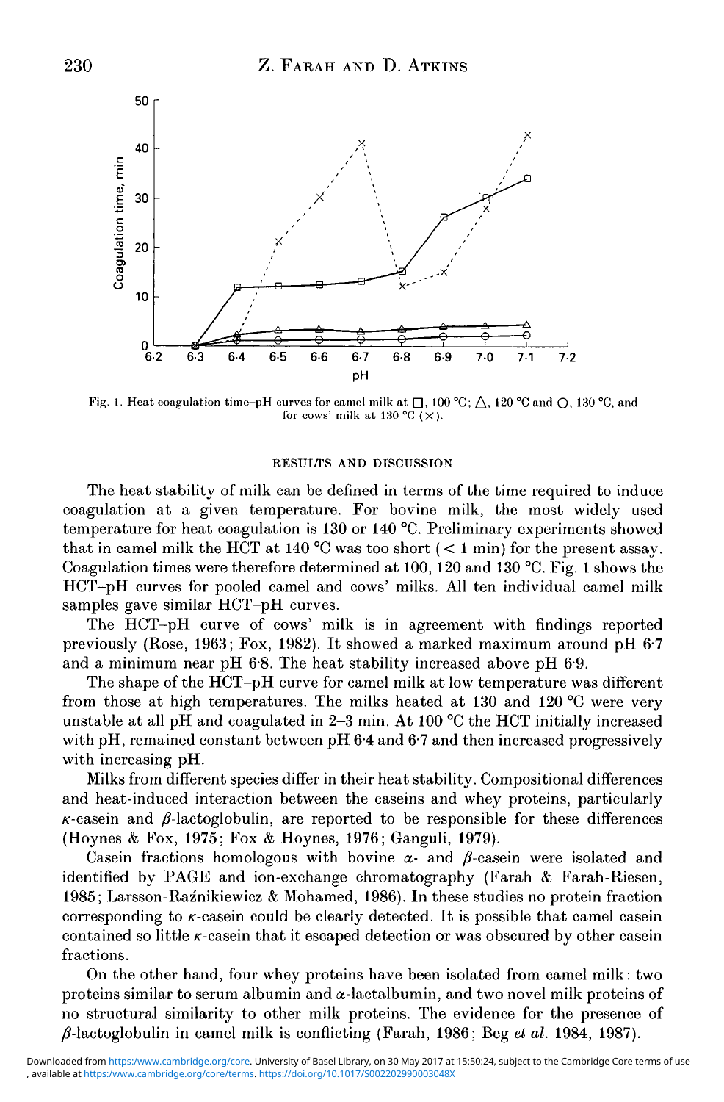

Fig. 1. Heat coagulation time-pH curves for camel milk at  $\Box$ , 100 °C;  $\triangle$ , 120 °C and  $\bigcirc$ , 130 °C, and for cows' milk at 130 °C ( $\times$ ).

#### RESULTS AND DISCUSSION

The heat stability of milk can be defined in terms of the time required to induce coagulation at a given temperature. For bovine milk, the most widely used temperature for heat coagulation is 130 or 140 °C. Preliminary experiments showed that in camel milk the HCT at 140 °C was too short  $(< 1 \text{ min}$  for the present assay. Coagulation times were therefore determined at 100, 120 and 130 °C. Fig. 1 shows the HCT-pH curves for pooled camel and cows' milks. All ten individual camel milk samples gave similar HCT-pH curves.

The HCT-pH curve of cows' milk is in agreement with findings reported previously (Rose, 1963; Fox, 1982). It showed a marked maximum around pH 6-7 and a minimum near pH 6-8. The heat stability increased above pH 6-9.

The shape of the HCT-pH curve for camel milk at low temperature was different from those at high temperatures. The milks heated at 130 and 120 °C were very unstable at all pH and coagulated in 2-3 min. At 100 °C the HCT initially increased with pH, remained constant between pH 6.4 and 6.7 and then increased progressively with increasing pH.

Milks from different species differ in their heat stability. Compositional differences and heat-induced interaction between the caseins and whey proteins, particularly  $\kappa$ -casein and  $\beta$ -lactoglobulin, are reported to be responsible for these differences (Hoynes & Fox, 1975; Fox & Hoynes, 1976; Ganguli, 1979).

Casein fractions homologous with bovine  $\alpha$ - and  $\beta$ -casein were isolated and identified by PAGE and ion-exchange chromatography (Farah & Farah-Riesen, 1985; Larsson-Raznikiewicz & Mohamed, 1986). In these studies no protein fraction corresponding to  $\kappa$ -casein could be clearly detected. It is possible that camel casein contained so little  $\kappa$ -casein that it escaped detection or was obscured by other casein fractions.

On the other hand, four whey proteins have been isolated from camel milk: two proteins similar to serum albumin and  $\alpha$ -lactalbumin, and two novel milk proteins of no structural similarity to other milk proteins. The evidence for the presence of  $\beta$ -lactoglobulin in camel milk is conflicting (Farah, 1986; Beg *et al.* 1984, 1987).